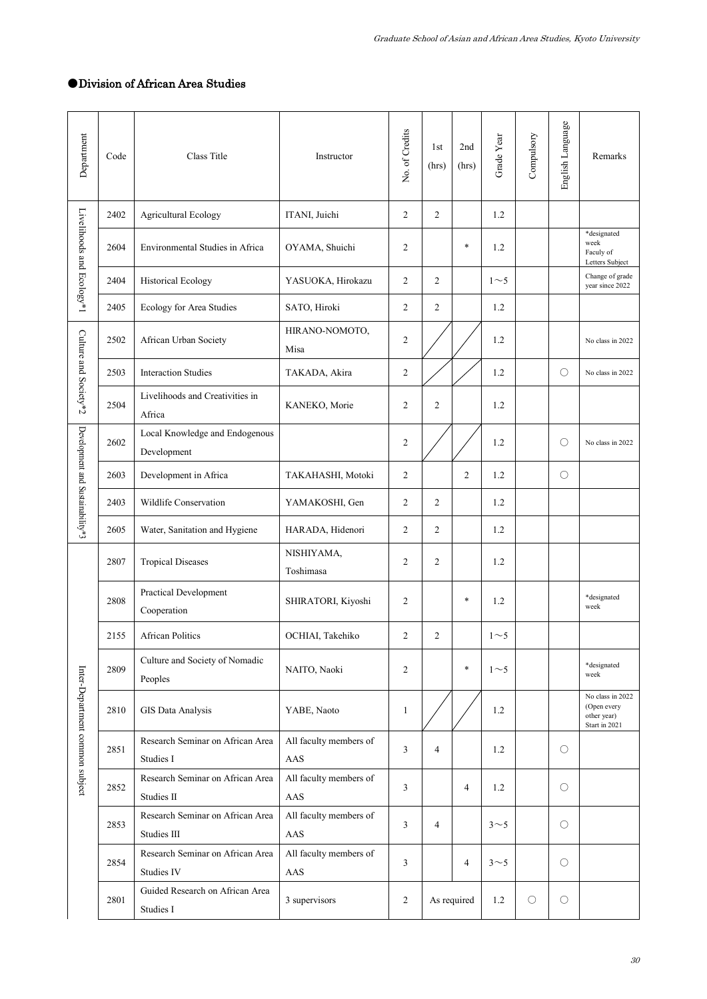## ●Division of African Area Studies

| Department                       | Code | Class Title                                     | Instructor                    | No. of Credits | 1st<br>(hrs)   | 2nd<br>(hrs)   | Grade Year     | Compulsory | English Language | Remarks                                                         |
|----------------------------------|------|-------------------------------------------------|-------------------------------|----------------|----------------|----------------|----------------|------------|------------------|-----------------------------------------------------------------|
| Livelihoods and Ecology*1        | 2402 | Agricultural Ecology                            | ITANI, Juichi                 | $\overline{2}$ | $\overline{2}$ |                | 1.2            |            |                  |                                                                 |
|                                  | 2604 | Environmental Studies in Africa                 | OYAMA, Shuichi                | $\overline{c}$ |                | $\ast$         | 1.2            |            |                  | *designated<br>week<br>Faculy of<br>Letters Subject             |
|                                  | 2404 | <b>Historical Ecology</b>                       | YASUOKA, Hirokazu             | $\overline{c}$ | 2              |                | $1\sim5$       |            |                  | Change of grade<br>year since 2022                              |
|                                  | 2405 | Ecology for Area Studies                        | SATO, Hiroki                  | $\overline{2}$ | $\overline{c}$ |                | 1.2            |            |                  |                                                                 |
| Culture and Society*2            | 2502 | African Urban Society                           | HIRANO-NOMOTO,<br>Misa        | $\overline{c}$ |                |                | 1.2            |            |                  | No class in 2022                                                |
|                                  | 2503 | <b>Interaction Studies</b>                      | TAKADA, Akira                 | $\overline{c}$ |                |                | 1.2            |            | O                | No class in 2022                                                |
|                                  | 2504 | Livelihoods and Creativities in<br>Africa       | KANEKO, Morie                 | $\overline{2}$ | $\overline{c}$ |                | 1.2            |            |                  |                                                                 |
| Development and Sustainability*3 | 2602 | Local Knowledge and Endogenous<br>Development   |                               | $\overline{c}$ |                |                | 1.2            |            | ∩                | No class in 2022                                                |
|                                  | 2603 | Development in Africa                           | TAKAHASHI, Motoki             | $\overline{c}$ |                | $\overline{2}$ | 1.2            |            | О                |                                                                 |
|                                  | 2403 | Wildlife Conservation                           | YAMAKOSHI, Gen                | $\overline{2}$ | $\mathfrak{2}$ |                | 1.2            |            |                  |                                                                 |
|                                  | 2605 | Water, Sanitation and Hygiene                   | HARADA, Hidenori              | $\overline{c}$ | $\mathfrak{2}$ |                | 1.2            |            |                  |                                                                 |
| Inter-Department common subject  | 2807 | <b>Tropical Diseases</b>                        | NISHIYAMA,<br>Toshimasa       | $\overline{c}$ | $\overline{c}$ |                | 1.2            |            |                  |                                                                 |
|                                  | 2808 | Practical Development<br>Cooperation            | SHIRATORI, Kiyoshi            | $\mathfrak{2}$ |                | $\ast$         | 1.2            |            |                  | *designated<br>week                                             |
|                                  | 2155 | <b>African Politics</b>                         | OCHIAI, Takehiko              | $\overline{c}$ | 2              |                | $1\sim$ 5      |            |                  |                                                                 |
|                                  | 2809 | Culture and Society of Nomadic<br>Peoples       | NAITO, Naoki                  | $\overline{c}$ |                | $\ast$         | $1\sim5$       |            |                  | *designated<br>week                                             |
|                                  | 2810 | GIS Data Analysis                               | YABE, Naoto                   | 1              |                |                | 1.2            |            |                  | No class in 2022<br>(Open every<br>other year)<br>Start in 2021 |
|                                  | 2851 | Research Seminar on African Area<br>Studies I   | All faculty members of<br>AAS | 3              | $\overline{4}$ |                | 1.2            |            | $\bigcirc$       |                                                                 |
|                                  | 2852 | Research Seminar on African Area<br>Studies II  | All faculty members of<br>AAS | 3              |                | 4              | 1.2            |            | O                |                                                                 |
|                                  | 2853 | Research Seminar on African Area<br>Studies III | All faculty members of<br>AAS | 3              | $\overline{4}$ |                | 3<5            |            | О                |                                                                 |
|                                  | 2854 | Research Seminar on African Area<br>Studies IV  | All faculty members of<br>AAS | 3              |                | $\overline{4}$ | 3 <sub>5</sub> |            | $\bigcirc$       |                                                                 |
|                                  | 2801 | Guided Research on African Area<br>Studies I    | 3 supervisors                 | $\sqrt{2}$     |                | As required    | 1.2            | О          | O                |                                                                 |